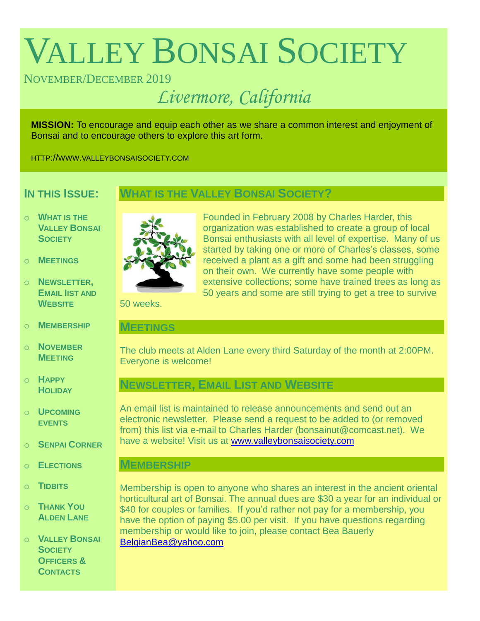# VALLEY BONSAI SOCIETY

# NOVEMBER/DECEMBER 2019

# *Livermore, California*

**MISSION:** To encourage and equip each other as we share a common interest and enjoyment of Bonsai and to encourage others to explore this art form.

HTTP://WWW.VALLEYBONSAISOCIETY.COM

# **IN THIS ISSUE:**

# **WHAT IS THE VALLEY BONSAI SOCIETY?**

- o **WHAT IS THE VALLEY BONSAI SOCIETY**
- o **MEETINGS**
- o **NEWSLETTER, EMAIL IIST AND WEBSITE**
- o **MEMBERSHIP**
- o **NOVEMBER MEETING**
- o **HAPPY HOLIDAY**
- o **UPCOMING EVENTS**
- o **SENPAI CORNER**
- o **ELECTIONS**
- o **TIDBITS**
- o **THANK YOU ALDEN LANE**

o **VALLEY BONSAI SOCIETY OFFICERS & CONTACTS**



Founded in February 2008 by Charles Harder, this organization was established to create a group of local Bonsai enthusiasts with all level of expertise. Many of us started by taking one or more of Charles's classes, some received a plant as a gift and some had been struggling on their own. We currently have some people with extensive collections; some have trained trees as long as 50 years and some are still trying to get a tree to survive

50 weeks.

#### **MEETINGS**

The club meets at Alden Lane every third Saturday of the month at 2:00PM. Everyone is welcome!

# **NEWSLETTER, EMAIL LIST AND WEBSITE**

An email list is maintained to release announcements and send out an electronic newsletter. Please send a request to be added to (or removed from) this list via e-mail to Charles Harder (bonsainut@comcast.net). We have a website! Visit us at [www.valleybonsaisociety.com](http://www.valleybonsaisociety.com/)

### **MEMBERSHIP**

Membership is open to anyone who shares an interest in the ancient oriental horticultural art of Bonsai. The annual dues are \$30 a year for an individual or \$40 for couples or families. If you'd rather not pay for a membership, you have the option of paying \$5.00 per visit. If you have questions regarding membership or would like to join, please contact Bea Bauerly [BelgianBea@yahoo.com](mailto:BelgianBea@yahoo.com)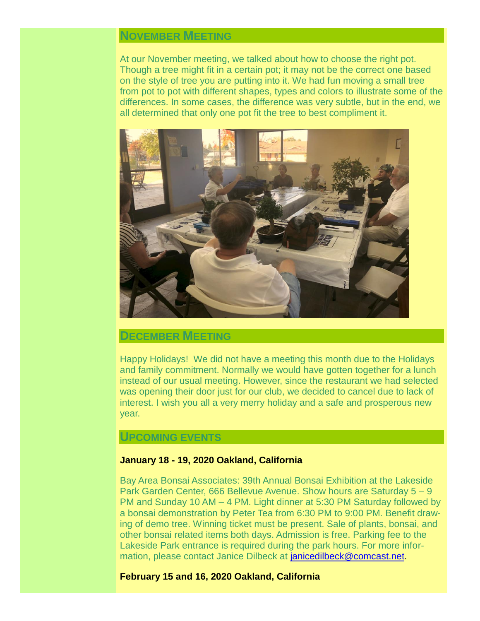# **NOVEMBER MEETING**

At our November meeting, we talked about how to choose the right pot. Though a tree might fit in a certain pot; it may not be the correct one based on the style of tree you are putting into it. We had fun moving a small tree from pot to pot with different shapes, types and colors to illustrate some of the differences. In some cases, the difference was very subtle, but in the end, we all determined that only one pot fit the tree to best compliment it.



#### **DECEMBER MEETING**

Happy Holidays! We did not have a meeting this month due to the Holidays and family commitment. Normally we would have gotten together for a lunch instead of our usual meeting. However, since the restaurant we had selected was opening their door just for our club, we decided to cancel due to lack of interest. I wish you all a very merry holiday and a safe and prosperous new year.

## **UPCOMING EVENTS**

#### **January 18 - 19, 2020 Oakland, California**

Bay Area Bonsai Associates: 39th Annual Bonsai Exhibition at the Lakeside Park Garden Center, 666 Bellevue Avenue. Show hours are Saturday 5 – 9 PM and Sunday 10 AM – 4 PM. Light dinner at 5:30 PM Saturday followed by a bonsai demonstration by Peter Tea from 6:30 PM to 9:00 PM. Benefit drawing of demo tree. Winning ticket must be present. Sale of plants, bonsai, and other bonsai related items both days. Admission is free. Parking fee to the Lakeside Park entrance is required during the park hours. For more information, please contact Janice Dilbeck at [janicedilbeck@comcast.net.](mailto:janicedilbeck@comcast.net)

#### **February 15 and 16, 2020 Oakland, California**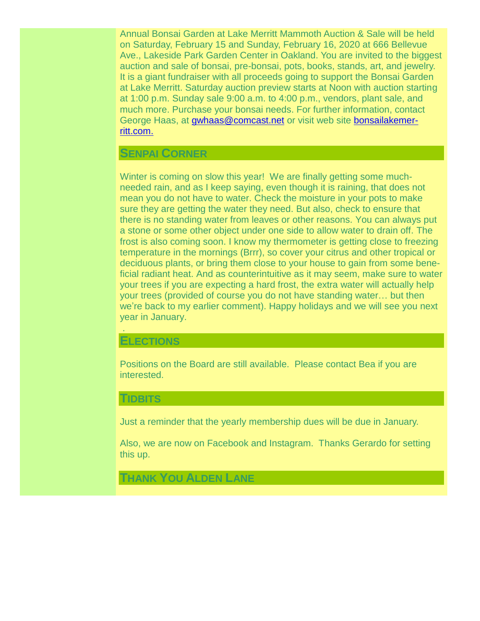Annual Bonsai Garden at Lake Merritt Mammoth Auction & Sale will be held on Saturday, February 15 and Sunday, February 16, 2020 at 666 Bellevue Ave., Lakeside Park Garden Center in Oakland. You are invited to the biggest auction and sale of bonsai, pre-bonsai, pots, books, stands, art, and jewelry. It is a giant fundraiser with all proceeds going to support the Bonsai Garden at Lake Merritt. Saturday auction preview starts at Noon with auction starting at 1:00 p.m. Sunday sale 9:00 a.m. to 4:00 p.m., vendors, plant sale, and much more. Purchase your bonsai needs. For further information, contact George Haas, at [gwhaas@comcast.net](mailto:gwhaas@comcast.net) or visit web site [bonsailakemer](https://www.bonsailakemerritt.com/)[ritt.com.](https://www.bonsailakemerritt.com/)

#### **SENPAI CORNER**

Winter is coming on slow this year! We are finally getting some muchneeded rain, and as I keep saying, even though it is raining, that does not mean you do not have to water. Check the moisture in your pots to make sure they are getting the water they need. But also, check to ensure that there is no standing water from leaves or other reasons. You can always put a stone or some other object under one side to allow water to drain off. The frost is also coming soon. I know my thermometer is getting close to freezing temperature in the mornings (Brrr), so cover your citrus and other tropical or deciduous plants, or bring them close to your house to gain from some beneficial radiant heat. And as counterintuitive as it may seem, make sure to water your trees if you are expecting a hard frost, the extra water will actually help your trees (provided of course you do not have standing water… but then we're back to my earlier comment). Happy holidays and we will see you next year in January.

#### **ELECTIONS**

.

Positions on the Board are still available. Please contact Bea if you are interested.

#### **TIDBITS**

Just a reminder that the yearly membership dues will be due in January.

Also, we are now on Facebook and Instagram. Thanks Gerardo for setting this up.

**THANK YOU ALDEN LANE**